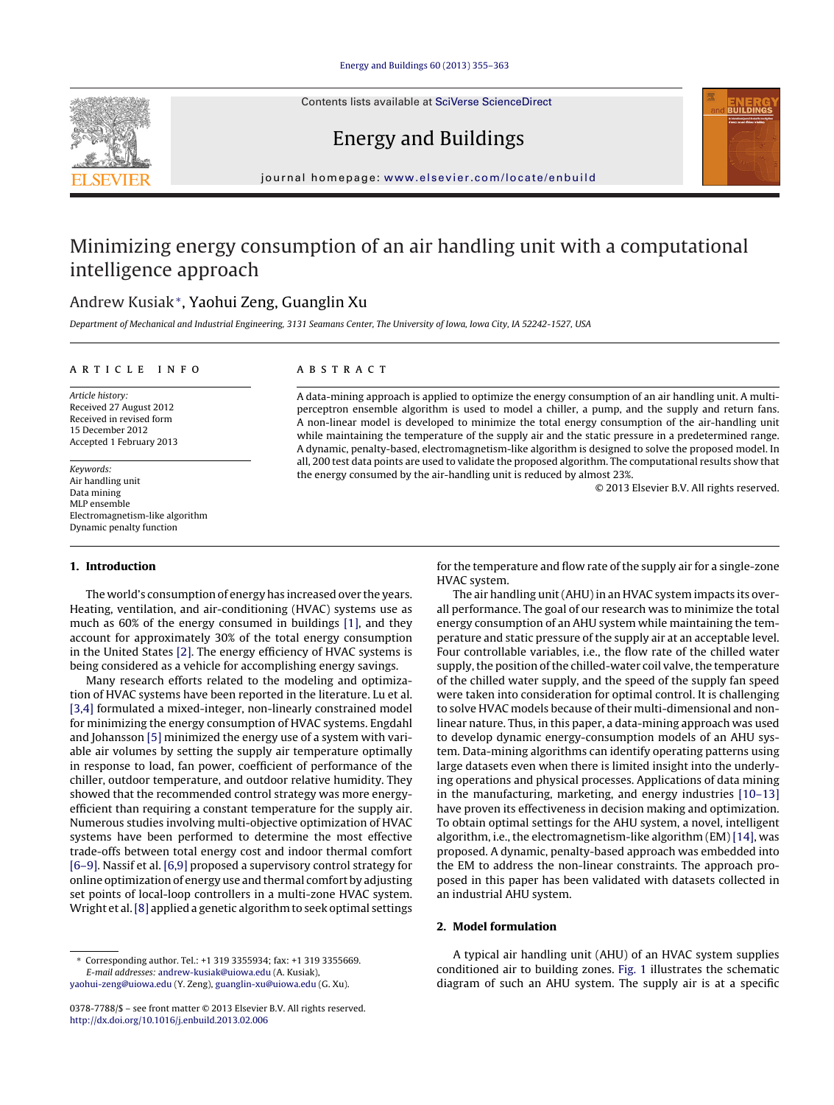Contents lists available at SciVerse [ScienceDirect](http://www.sciencedirect.com/science/journal/03787788)





## Energy and Buildings

iournal homepage: [www.elsevier.com/locate/enbuild](http://www.elsevier.com/locate/enbuild)

# Minimizing energy consumption of an air handling unit with a computational intelligence approach

## Andrew Kusiak<sup>∗</sup>, Yaohui Zeng, Guanglin Xu

Department of Mechanical and Industrial Engineering, 3131 Seamans Center, The University of Iowa, Iowa City, IA 52242-1527, USA

## ARTICLE INFO

Article history: Received 27 August 2012 Received in revised form 15 December 2012 Accepted 1 February 2013

Keywords: Air handling unit Data mining MLP ensemble Electromagnetism-like algorithm Dynamic penalty function

### **1. Introduction**

The world's consumption of energy has increased over the years. Heating, ventilation, and air-conditioning (HVAC) systems use as much as 60% of the energy consumed in buildings [\[1\],](#page--1-0) and they account for approximately 30% of the total energy consumption in the United States [\[2\].](#page--1-0) The energy efficiency of HVAC systems is being considered as a vehicle for accomplishing energy savings.

Many research efforts related to the modeling and optimization of HVAC systems have been reported in the literature. Lu et al. [\[3,4\]](#page--1-0) formulated a mixed-integer, non-linearly constrained model for minimizing the energy consumption of HVAC systems. Engdahl and Johansson [\[5\]](#page--1-0) minimized the energy use of a system with variable air volumes by setting the supply air temperature optimally in response to load, fan power, coefficient of performance of the chiller, outdoor temperature, and outdoor relative humidity. They showed that the recommended control strategy was more energyefficient than requiring a constant temperature for the supply air. Numerous studies involving multi-objective optimization of HVAC systems have been performed to determine the most effective trade-offs between total energy cost and indoor thermal comfort [\[6–9\].](#page--1-0) Nassif et al. [\[6,9\]](#page--1-0) proposed a supervisory control strategy for online optimization of energy use and thermal comfort by adjusting set points of local-loop controllers in a multi-zone HVAC system. Wright et al.[\[8\]](#page--1-0) applied a genetic algorithm to seek optimal settings

## A B S T R A C T

A data-mining approach is applied to optimize the energy consumption of an air handling unit. A multiperceptron ensemble algorithm is used to model a chiller, a pump, and the supply and return fans. A non-linear model is developed to minimize the total energy consumption of the air-handling unit while maintaining the temperature of the supply air and the static pressure in a predetermined range. A dynamic, penalty-based, electromagnetism-like algorithm is designed to solve the proposed model. In all, 200 test data points are used to validate the proposed algorithm. The computational results show that the energy consumed by the air-handling unit is reduced by almost 23%.

© 2013 Elsevier B.V. All rights reserved.

for the temperature and flow rate of the supply air for a single-zone HVAC system.

The air handling unit (AHU) in an HVAC system impacts its overall performance. The goal of our research was to minimize the total energy consumption of an AHU system while maintaining the temperature and static pressure of the supply air at an acceptable level. Four controllable variables, i.e., the flow rate of the chilled water supply, the position of the chilled-water coil valve, the temperature of the chilled water supply, and the speed of the supply fan speed were taken into consideration for optimal control. It is challenging to solve HVAC models because of their multi-dimensional and nonlinear nature. Thus, in this paper, a data-mining approach was used to develop dynamic energy-consumption models of an AHU system. Data-mining algorithms can identify operating patterns using large datasets even when there is limited insight into the underlying operations and physical processes. Applications of data mining in the manufacturing, marketing, and energy industries [\[10–13\]](#page--1-0) have proven its effectiveness in decision making and optimization. To obtain optimal settings for the AHU system, a novel, intelligent algorithm, i.e., the electromagnetism-like algorithm (EM) [\[14\],](#page--1-0) was proposed. A dynamic, penalty-based approach was embedded into the EM to address the non-linear constraints. The approach proposed in this paper has been validated with datasets collected in an industrial AHU system.

## **2. Model formulation**

A typical air handling unit (AHU) of an HVAC system supplies conditioned air to building zones. [Fig.](#page-1-0) 1 illustrates the schematic diagram of such an AHU system. The supply air is at a specific

<sup>∗</sup> Corresponding author. Tel.: +1 319 3355934; fax: +1 319 3355669. E-mail addresses: [andrew-kusiak@uiowa.edu](mailto:andrew-kusiak@uiowa.edu) (A. Kusiak), [yaohui-zeng@uiowa.edu](mailto:yaohui-zeng@uiowa.edu) (Y. Zeng), [guanglin-xu@uiowa.edu](mailto:guanglin-xu@uiowa.edu) (G. Xu).

<sup>0378-7788/\$</sup> – see front matter © 2013 Elsevier B.V. All rights reserved. [http://dx.doi.org/10.1016/j.enbuild.2013.02.006](dx.doi.org/10.1016/j.enbuild.2013.02.006)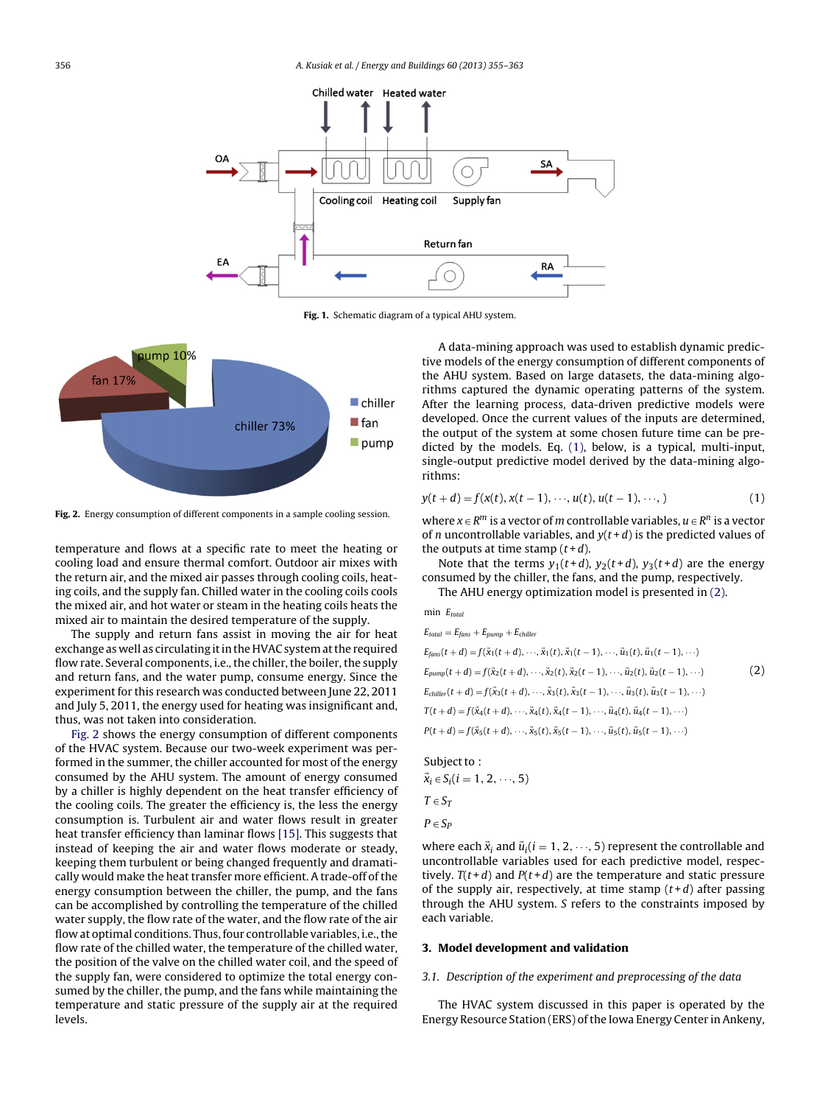<span id="page-1-0"></span>

**Fig. 1.** Schematic diagram of a typical AHU system.



**Fig. 2.** Energy consumption of different components in a sample cooling session.

temperature and flows at a specific rate to meet the heating or cooling load and ensure thermal comfort. Outdoor air mixes with the return air, and the mixed air passes through cooling coils, heating coils, and the supply fan. Chilled water in the cooling coils cools the mixed air, and hot water or steam in the heating coils heats the mixed air to maintain the desired temperature of the supply.

The supply and return fans assist in moving the air for heat exchange as well as circulating it in the HVAC system at the required flow rate. Several components, i.e., the chiller, the boiler, the supply and return fans, and the water pump, consume energy. Since the experiment for this research was conducted between June 22, 2011 and July 5, 2011, the energy used for heating was insignificant and, thus, was not taken into consideration.

Fig. 2 shows the energy consumption of different components of the HVAC system. Because our two-week experiment was performed in the summer, the chiller accounted for most of the energy consumed by the AHU system. The amount of energy consumed by a chiller is highly dependent on the heat transfer efficiency of the cooling coils. The greater the efficiency is, the less the energy consumption is. Turbulent air and water flows result in greater heat transfer efficiency than laminar flows [\[15\].](#page--1-0) This suggests that instead of keeping the air and water flows moderate or steady, keeping them turbulent or being changed frequently and dramatically would make the heat transfer more efficient. A trade-off of the energy consumption between the chiller, the pump, and the fans can be accomplished by controlling the temperature of the chilled water supply, the flow rate of the water, and the flow rate of the air flow at optimal conditions. Thus, four controllable variables, i.e., the flow rate of the chilled water, the temperature of the chilled water, the position of the valve on the chilled water coil, and the speed of the supply fan, were considered to optimize the total energy consumed by the chiller, the pump, and the fans while maintaining the temperature and static pressure of the supply air at the required levels.

A data-mining approach was used to establish dynamic predictive models of the energy consumption of different components of the AHU system. Based on large datasets, the data-mining algorithms captured the dynamic operating patterns of the system. After the learning process, data-driven predictive models were developed. Once the current values of the inputs are determined, the output of the system at some chosen future time can be predicted by the models. Eq. (1), below, is a typical, multi-input, single-output predictive model derived by the data-mining algorithms:

$$
y(t + d) = f(x(t), x(t-1), \dots, u(t), u(t-1), \dots, )
$$
\n(1)

where  $x \in R^m$  is a vector of m controllable variables,  $u \in R^n$  is a vector of *n* uncontrollable variables, and  $y(t+d)$  is the predicted values of the outputs at time stamp  $(t+d)$ .

Note that the terms  $y_1(t+d)$ ,  $y_2(t+d)$ ,  $y_3(t+d)$  are the energy consumed by the chiller, the fans, and the pump, respectively.

The AHU energy optimization model is presented in (2).

min 
$$
E_{total}
$$
  
\n
$$
E_{total} = E_{fans} + E_{pump} + E_{children}
$$
\n
$$
E_{final}(t + d) = f(\vec{x}_1(t + d), \dots, \vec{x}_1(t), \vec{x}_1(t - 1), \dots, \vec{u}_1(t), \vec{u}_1(t - 1), \dots)
$$
\n
$$
E_{pump}(t + d) = f(\vec{x}_2(t + d), \dots, \vec{x}_2(t), \vec{x}_2(t - 1), \dots, \vec{u}_2(t), \vec{u}_2(t - 1), \dots)
$$
\n
$$
E_{children}(t + d) = f(\vec{x}_3(t + d), \dots, \vec{x}_3(t), \vec{x}_3(t - 1), \dots, \vec{u}_3(t), \vec{u}_3(t - 1), \dots)
$$
\n
$$
T(t + d) = f(\vec{x}_4(t + d), \dots, \vec{x}_4(t), \vec{x}_4(t - 1), \dots, \vec{u}_4(t), \vec{u}_4(t - 1), \dots)
$$
\n
$$
P(t + d) = f(\vec{x}_5(t + d), \dots, \vec{x}_5(t), \vec{x}_5(t - 1), \dots, \vec{u}_5(t), \vec{u}_5(t - 1), \dots)
$$

Subject to:  $\vec{x}_i \in S_i (i = 1, 2, \dots, 5)$  $T \in S_T$  $P \in S_P$ 

where each  $\vec{x}_i$  and  $\vec{u}_i$  ( $i = 1, 2, \dots, 5$ ) represent the controllable and uncontrollable variables used for each predictive model, respectively.  $T(t+d)$  and  $P(t+d)$  are the temperature and static pressure of the supply air, respectively, at time stamp  $(t+d)$  after passing through the AHU system. S refers to the constraints imposed by each variable.

#### **3. Model development and validation**

#### 3.1. Description of the experiment and preprocessing of the data

The HVAC system discussed in this paper is operated by the Energy Resource Station (ERS) ofthe Iowa Energy Center in Ankeny,